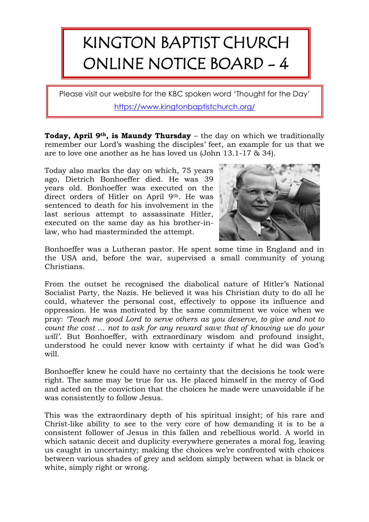## KINGTON BAPTIST CHURCH ONLINE NOTICE BOARD - 4

Please visit our website for the KBC spoken word 'Thought for the Day' <https://www.kingtonbaptistchurch.org/>

**Today, April 9th, is Maundy Thursday** – the day on which we traditionally remember our Lord's washing the disciples' feet, an example for us that we are to love one another as he has loved us (John 13.1-17 & 34).

Today also marks the day on which, 75 years ago, Dietrich Bonhoeffer died. He was 39 years old. Bonhoeffer was executed on the direct orders of Hitler on April 9<sup>th</sup>. He was sentenced to death for his involvement in the last serious attempt to assassinate Hitler, executed on the same day as his brother-inlaw, who had masterminded the attempt.



Bonhoeffer was a Lutheran pastor. He spent some time in England and in the USA and, before the war, supervised a small community of young Christians.

From the outset he recognised the diabolical nature of Hitler's National Socialist Party, the Nazis. He believed it was his Christian duty to do all he could, whatever the personal cost, effectively to oppose its influence and oppression. He was motivated by the same commitment we voice when we pray: *'Teach me good Lord to serve others as you deserve, to give and not to count the cost … not to ask for any reward save that of knowing we do your will'.* But Bonhoeffer, with extraordinary wisdom and profound insight, understood he could never know with certainty if what he did was God's will.

Bonhoeffer knew he could have no certainty that the decisions he took were right. The same may be true for us. He placed himself in the mercy of God and acted on the conviction that the choices he made were unavoidable if he was consistently to follow Jesus.

This was the extraordinary depth of his spiritual insight; of his rare and Christ-like ability to see to the very core of how demanding it is to be a consistent follower of Jesus in this fallen and rebellious world. A world in which satanic deceit and duplicity everywhere generates a moral fog, leaving us caught in uncertainty; making the choices we're confronted with choices between various shades of grey and seldom simply between what is black or white, simply right or wrong.